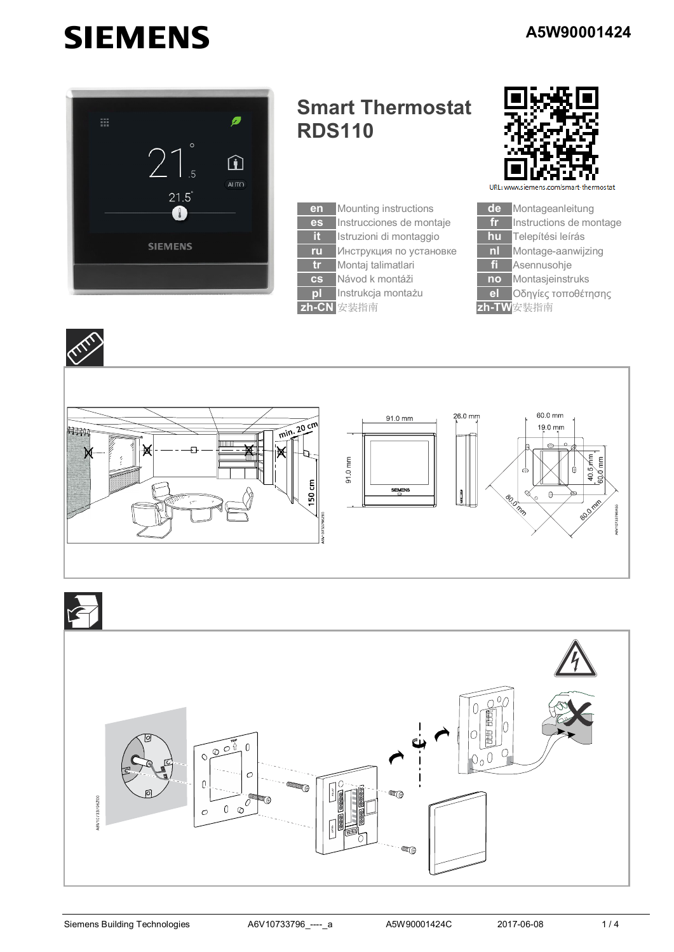## **SIEMENS**



## **Smart Thermostat RDS110**





URL: www.sieme art-thermostat





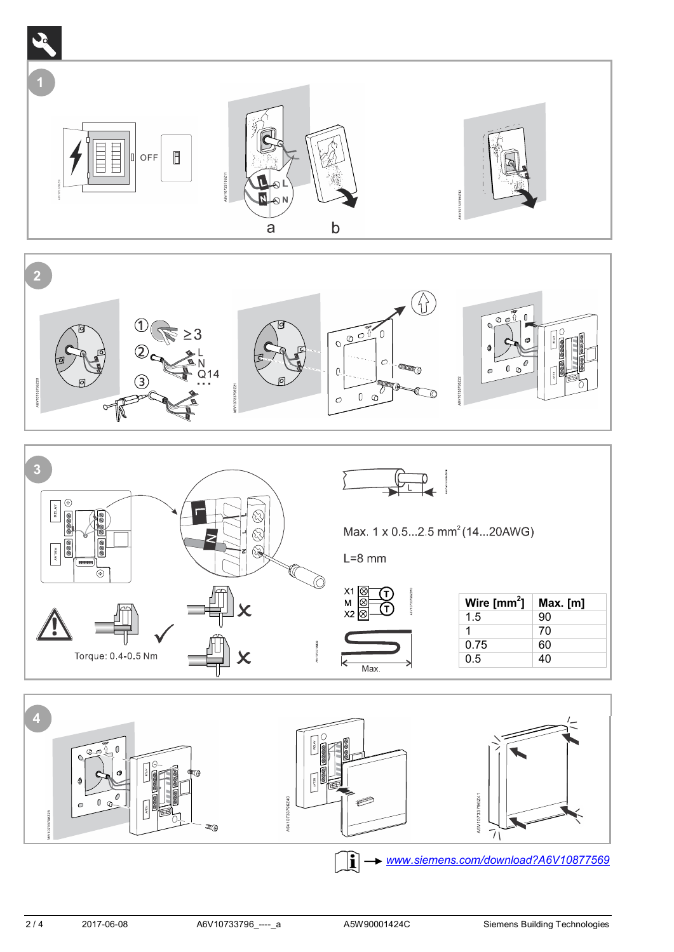





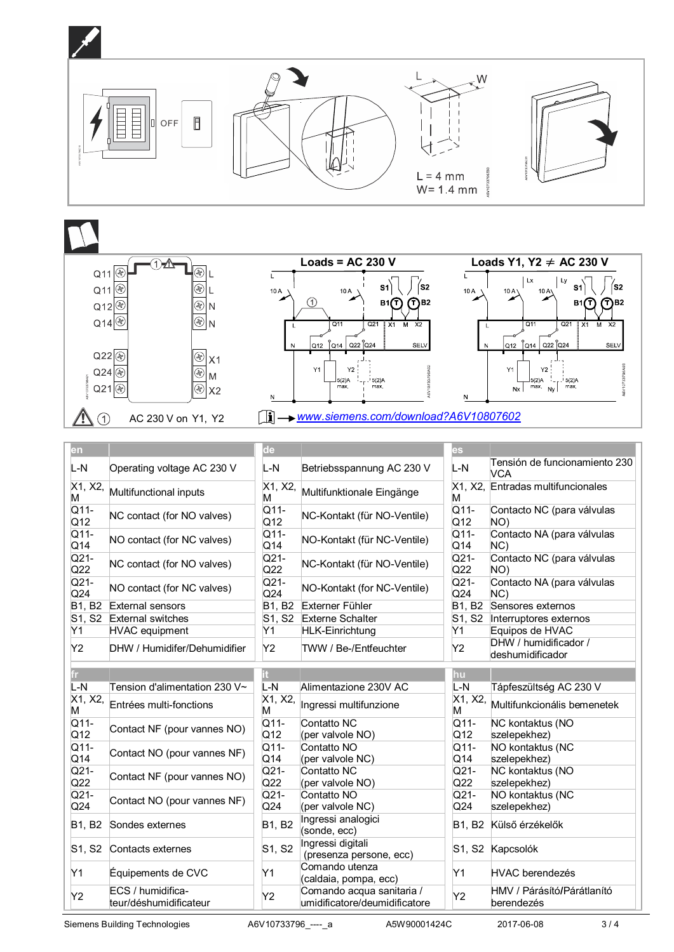



| en            |                                             | de            |                                                            | <b>es</b>               |                                             |
|---------------|---------------------------------------------|---------------|------------------------------------------------------------|-------------------------|---------------------------------------------|
| L-N           | Operating voltage AC 230 V                  | L-N           | Betriebsspannung AC 230 V                                  | L-N                     | Tensión de funcionamiento 230<br><b>VCA</b> |
| X1, X2,<br>M  | Multifunctional inputs                      | X1, X2,<br>М  | Multifunktionale Eingänge                                  | м                       | X1, X2, Entradas multifuncionales           |
| Q11-<br>Q12   | NC contact (for NO valves)                  | Q11-<br>Q12   | NC-Kontakt (für NO-Ventile)                                | Q11-<br>Q12             | Contacto NC (para válvulas<br>NO)           |
| $Q11-$<br>Q14 | NO contact (for NC valves)                  | $Q11-$<br>Q14 | NO-Kontakt (für NC-Ventile)                                | $Q11-$<br>Q14           | Contacto NA (para válvulas<br>NC)           |
| $Q21-$<br>Q22 | NC contact (for NO valves)                  | $Q21-$<br>Q22 | NC-Kontakt (für NO-Ventile)                                | $Q21-$<br>Q22           | Contacto NC (para válvulas<br>NO)           |
| $Q21-$<br>Q24 | NO contact (for NC valves)                  | $Q21-$<br>Q24 | NO-Kontakt (for NC-Ventile)                                | $Q21-$<br>Q24           | Contacto NA (para válvulas<br>NC)           |
| <b>B1, B2</b> | External sensors                            | B1, B2        | Externer Fühler                                            | <b>B1, B2</b>           | Sensores externos                           |
| S1, S2        | <b>External switches</b>                    | S1, S2        | <b>Externe Schalter</b>                                    | S1, S2                  | Interruptores externos                      |
| Y1            | <b>HVAC</b> equipment                       | Υ1            | <b>HLK-Einrichtung</b>                                     | Y1                      | Equipos de HVAC                             |
| Y2            | DHW / Humidifer/Dehumidifier                | Y2            | TWW / Be-/Entfeuchter                                      | Y2                      | DHW / humidificador /<br>deshumidificador   |
| fr l          |                                             | it.           |                                                            | <b>hu</b>               |                                             |
| $L-N$         | Tension d'alimentation 230 V~               | L-N           | Alimentazione 230V AC                                      | L-N                     | Tápfeszültség AC 230 V                      |
| X1, X2,<br>M  | Entrées multi-fonctions                     | X1, X2,<br>M  | Ingressi multifunzione                                     | X1, X2,<br>М            | Multifunkcionális bemenetek                 |
| Q11-<br>Q12   | Contact NF (pour vannes NO)                 | Q11-<br>Q12   | Contatto NC<br>(per valvole NO)                            | Q11-<br>Q12             | NC kontaktus (NO<br>szelepekhez)            |
| Q11-<br>Q14   | Contact NO (pour vannes NF)                 | Q11-<br>Q14   | Contatto NO<br>(per valvole NC)                            | $Q11-$<br>Q14           | NO kontaktus (NC<br>szelepekhez)            |
| $Q21-$<br>Q22 | Contact NF (pour vannes NO)                 | $Q21-$<br>Q22 | Contatto NC<br>(per valvole NO)                            | $\overline{Q21}$<br>Q22 | NC kontaktus (NO<br>szelepekhez)            |
| $Q21-$<br>Q24 | Contact NO (pour vannes NF)                 | $Q21-$<br>Q24 | Contatto NO<br>(per valvole NC)                            | $Q21-$<br>Q24           | NO kontaktus (NC<br>szelepekhez)            |
| B1, B2        | Sondes externes                             | B1, B2        | Ingressi analogici<br>(sonde, ecc)                         |                         | B1, B2 Külső érzékelők                      |
| S1, S2        | Contacts externes                           | S1, S2        | Ingressi digitali<br>(presenza persone, ecc)               |                         | S1, S2 Kapcsolók                            |
| Y1            | Équipements de CVC                          | Y1            | Comando utenza<br>(caldaia, pompa, ecc)                    | Y1                      | <b>HVAC berendezés</b>                      |
| Y2            | ECS / humidifica-<br>teur/déshumidificateur | Y2            | Comando acqua sanitaria /<br>umidificatore/deumidificatore | Y2                      | HMV / Párásító/Párátlanító<br>berendezés    |

Siemens Building Technologies A6V10733796\_----\_a A5W90001424C 2017-06-08 3 / 4